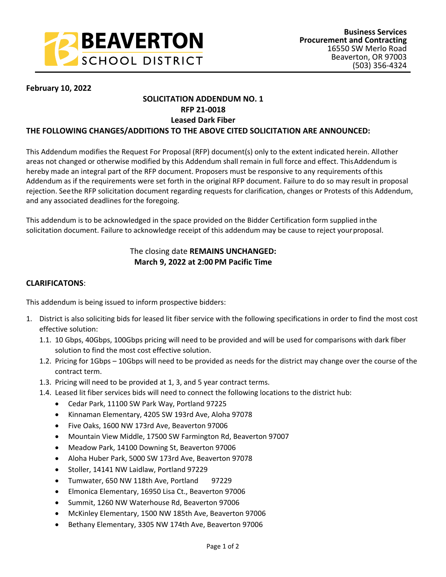

### **February 10, 2022**

## **SOLICITATION ADDENDUM NO. 1 RFP 21-0018**

### **Leased Dark Fiber**

#### **THE FOLLOWING CHANGES/ADDITIONS TO THE ABOVE CITED SOLICITATION ARE ANNOUNCED:**

This Addendum modifies the Request For Proposal (RFP) document(s) only to the extent indicated herein. All other areas not changed or otherwise modified by this Addendum shall remain in full force and effect. This Addendum is hereby made an integral part of the RFP document. Proposers must be responsive to any requirements of this Addendum as if the requirements were set forth in the original RFP document. Failure to do so may result in proposal rejection. See the RFP solicitation document regarding requests for clarification, changes or Protests of this Addendum, and any associated deadlines for the foregoing.

This addendum is to be acknowledged in the space provided on the Bidder Certification form supplied in the solicitation document. Failure to acknowledge receipt of this addendum may be cause to reject your proposal.

# The closing date **REMAINS UNCHANGED: March 9, 2022 at 2:00 PM Pacific Time**

#### **CLARIFICATONS**:

This addendum is being issued to inform prospective bidders:

- 1. District is also soliciting bids for leased lit fiber service with the following specifications in order to find the most cost effective solution:
	- 1.1. 10 Gbps, 40Gbps, 100Gbps pricing will need to be provided and will be used for comparisons with dark fiber solution to find the most cost effective solution.
	- 1.2. Pricing for 1Gbps 10Gbps will need to be provided as needs for the district may change over the course of the contract term.
	- 1.3. Pricing will need to be provided at 1, 3, and 5 year contract terms.
	- 1.4. Leased lit fiber services bids will need to connect the following locations to the district hub:
		- Cedar Park, 11100 SW Park Way, Portland 97225
		- Kinnaman Elementary, 4205 SW 193rd Ave, Aloha 97078
		- Five Oaks, 1600 NW 173rd Ave, Beaverton 97006
		- Mountain View Middle, 17500 SW Farmington Rd, Beaverton 97007
		- Meadow Park, 14100 Downing St, Beaverton 97006
		- Aloha Huber Park, 5000 SW 173rd Ave, Beaverton 97078
		- Stoller, 14141 NW Laidlaw, Portland 97229
		- Tumwater, 650 NW 118th Ave, Portland 97229
		- Elmonica Elementary, 16950 Lisa Ct., Beaverton 97006
		- Summit, 1260 NW Waterhouse Rd, Beaverton 97006
		- McKinley Elementary, 1500 NW 185th Ave, Beaverton 97006
		- Bethany Elementary, 3305 NW 174th Ave, Beaverton 97006